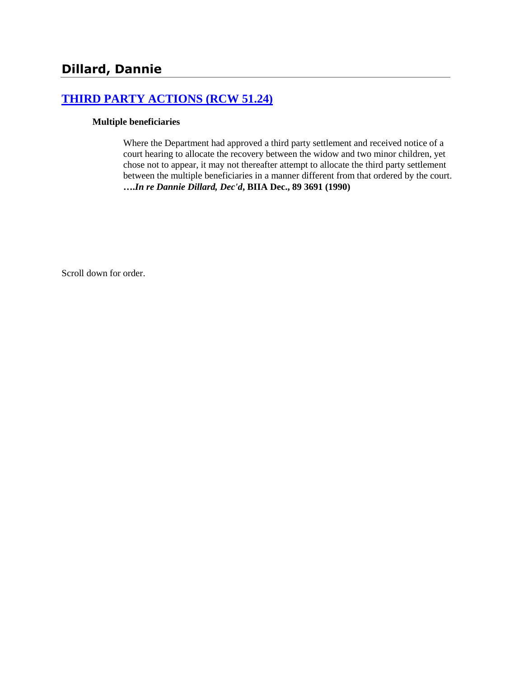## **[THIRD PARTY ACTIONS \(RCW 51.24\)](http://www.biia.wa.gov/SDSubjectIndex.html#THIRD_PARTY_ACTIONS)**

### **Multiple beneficiaries**

Where the Department had approved a third party settlement and received notice of a court hearing to allocate the recovery between the widow and two minor children, yet chose not to appear, it may not thereafter attempt to allocate the third party settlement between the multiple beneficiaries in a manner different from that ordered by the court. **….***In re Dannie Dillard, Dec'd***, BIIA Dec., 89 3691 (1990)**

Scroll down for order.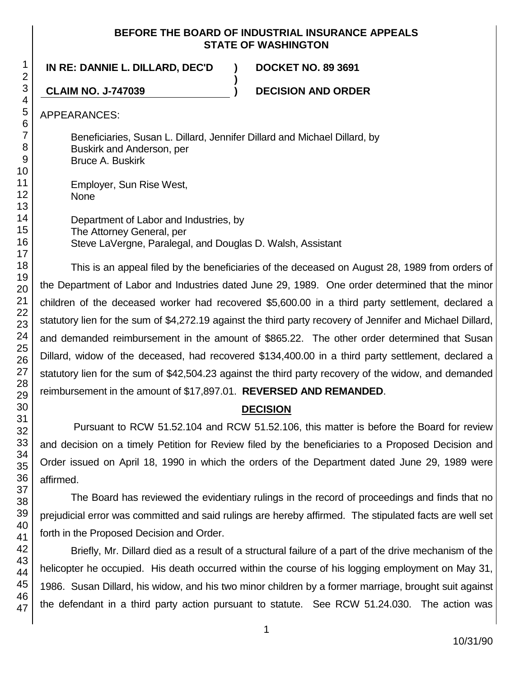### **BEFORE THE BOARD OF INDUSTRIAL INSURANCE APPEALS STATE OF WASHINGTON**

### **IN RE: DANNIE L. DILLARD, DEC'D ) DOCKET NO. 89 3691**

**CLAIM NO. J-747039 ) DECISION AND ORDER**

APPEARANCES:

Beneficiaries, Susan L. Dillard, Jennifer Dillard and Michael Dillard, by Buskirk and Anderson, per Bruce A. Buskirk

**)**

Employer, Sun Rise West, None

Department of Labor and Industries, by The Attorney General, per Steve LaVergne, Paralegal, and Douglas D. Walsh, Assistant

This is an appeal filed by the beneficiaries of the deceased on August 28, 1989 from orders of the Department of Labor and Industries dated June 29, 1989. One order determined that the minor children of the deceased worker had recovered \$5,600.00 in a third party settlement, declared a statutory lien for the sum of \$4,272.19 against the third party recovery of Jennifer and Michael Dillard, and demanded reimbursement in the amount of \$865.22. The other order determined that Susan Dillard, widow of the deceased, had recovered \$134,400.00 in a third party settlement, declared a statutory lien for the sum of \$42,504.23 against the third party recovery of the widow, and demanded reimbursement in the amount of \$17,897.01. **REVERSED AND REMANDED**.

## **DECISION**

Pursuant to RCW 51.52.104 and RCW 51.52.106, this matter is before the Board for review and decision on a timely Petition for Review filed by the beneficiaries to a Proposed Decision and Order issued on April 18, 1990 in which the orders of the Department dated June 29, 1989 were affirmed.

The Board has reviewed the evidentiary rulings in the record of proceedings and finds that no prejudicial error was committed and said rulings are hereby affirmed. The stipulated facts are well set forth in the Proposed Decision and Order.

Briefly, Mr. Dillard died as a result of a structural failure of a part of the drive mechanism of the helicopter he occupied. His death occurred within the course of his logging employment on May 31, 1986. Susan Dillard, his widow, and his two minor children by a former marriage, brought suit against the defendant in a third party action pursuant to statute. See RCW 51.24.030. The action was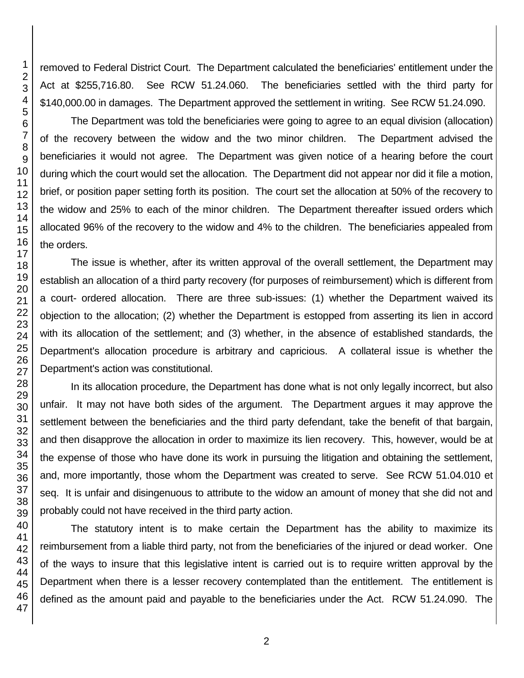removed to Federal District Court. The Department calculated the beneficiaries' entitlement under the Act at \$255,716.80. See RCW 51.24.060. The beneficiaries settled with the third party for \$140,000.00 in damages. The Department approved the settlement in writing. See RCW 51.24.090.

The Department was told the beneficiaries were going to agree to an equal division (allocation) of the recovery between the widow and the two minor children. The Department advised the beneficiaries it would not agree. The Department was given notice of a hearing before the court during which the court would set the allocation. The Department did not appear nor did it file a motion, brief, or position paper setting forth its position. The court set the allocation at 50% of the recovery to the widow and 25% to each of the minor children. The Department thereafter issued orders which allocated 96% of the recovery to the widow and 4% to the children. The beneficiaries appealed from the orders.

The issue is whether, after its written approval of the overall settlement, the Department may establish an allocation of a third party recovery (for purposes of reimbursement) which is different from a court- ordered allocation. There are three sub-issues: (1) whether the Department waived its objection to the allocation; (2) whether the Department is estopped from asserting its lien in accord with its allocation of the settlement; and (3) whether, in the absence of established standards, the Department's allocation procedure is arbitrary and capricious. A collateral issue is whether the Department's action was constitutional.

In its allocation procedure, the Department has done what is not only legally incorrect, but also unfair. It may not have both sides of the argument. The Department argues it may approve the settlement between the beneficiaries and the third party defendant, take the benefit of that bargain, and then disapprove the allocation in order to maximize its lien recovery. This, however, would be at the expense of those who have done its work in pursuing the litigation and obtaining the settlement, and, more importantly, those whom the Department was created to serve. See RCW 51.04.010 et seq. It is unfair and disingenuous to attribute to the widow an amount of money that she did not and probably could not have received in the third party action.

The statutory intent is to make certain the Department has the ability to maximize its reimbursement from a liable third party, not from the beneficiaries of the injured or dead worker. One of the ways to insure that this legislative intent is carried out is to require written approval by the Department when there is a lesser recovery contemplated than the entitlement. The entitlement is defined as the amount paid and payable to the beneficiaries under the Act. RCW 51.24.090. The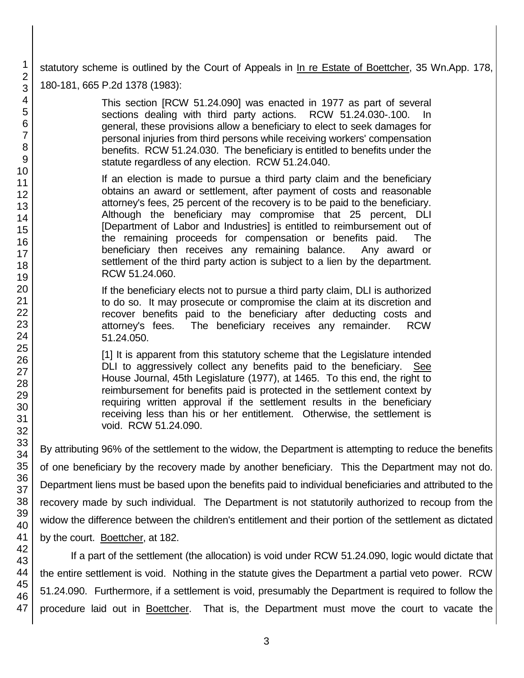statutory scheme is outlined by the Court of Appeals in In re Estate of Boettcher, 35 Wn.App. 178, 180-181, 665 P.2d 1378 (1983):

> This section [RCW 51.24.090] was enacted in 1977 as part of several sections dealing with third party actions. RCW 51.24.030-.100. In general, these provisions allow a beneficiary to elect to seek damages for personal injuries from third persons while receiving workers' compensation benefits. RCW 51.24.030. The beneficiary is entitled to benefits under the statute regardless of any election. RCW 51.24.040.

If an election is made to pursue a third party claim and the beneficiary obtains an award or settlement, after payment of costs and reasonable attorney's fees, 25 percent of the recovery is to be paid to the beneficiary. Although the beneficiary may compromise that 25 percent, DLI [Department of Labor and Industries] is entitled to reimbursement out of the remaining proceeds for compensation or benefits paid. The beneficiary then receives any remaining balance. Any award or settlement of the third party action is subject to a lien by the department. RCW 51.24.060.

If the beneficiary elects not to pursue a third party claim, DLI is authorized to do so. It may prosecute or compromise the claim at its discretion and recover benefits paid to the beneficiary after deducting costs and attorney's fees. The beneficiary receives any remainder. RCW 51.24.050.

[1] It is apparent from this statutory scheme that the Legislature intended DLI to aggressively collect any benefits paid to the beneficiary. See House Journal, 45th Legislature (1977), at 1465. To this end, the right to reimbursement for benefits paid is protected in the settlement context by requiring written approval if the settlement results in the beneficiary receiving less than his or her entitlement. Otherwise, the settlement is void. RCW 51.24.090.

By attributing 96% of the settlement to the widow, the Department is attempting to reduce the benefits of one beneficiary by the recovery made by another beneficiary. This the Department may not do. Department liens must be based upon the benefits paid to individual beneficiaries and attributed to the recovery made by such individual. The Department is not statutorily authorized to recoup from the widow the difference between the children's entitlement and their portion of the settlement as dictated by the court. Boettcher, at 182.

If a part of the settlement (the allocation) is void under RCW 51.24.090, logic would dictate that the entire settlement is void. Nothing in the statute gives the Department a partial veto power. RCW 51.24.090. Furthermore, if a settlement is void, presumably the Department is required to follow the procedure laid out in Boettcher. That is, the Department must move the court to vacate the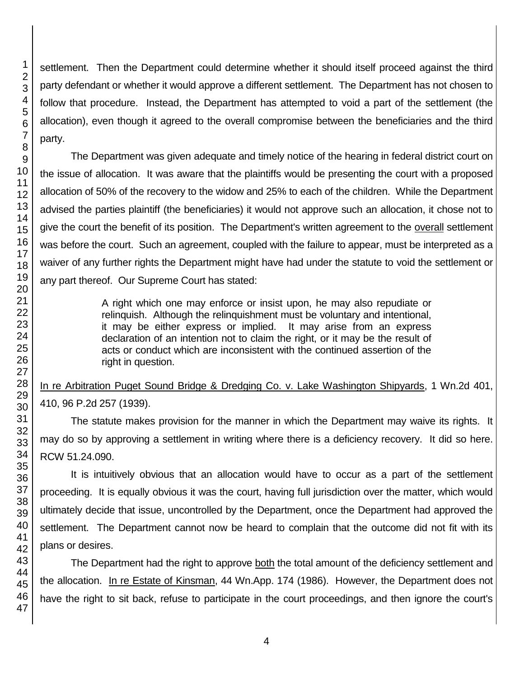settlement. Then the Department could determine whether it should itself proceed against the third party defendant or whether it would approve a different settlement. The Department has not chosen to follow that procedure. Instead, the Department has attempted to void a part of the settlement (the allocation), even though it agreed to the overall compromise between the beneficiaries and the third party.

The Department was given adequate and timely notice of the hearing in federal district court on the issue of allocation. It was aware that the plaintiffs would be presenting the court with a proposed allocation of 50% of the recovery to the widow and 25% to each of the children. While the Department advised the parties plaintiff (the beneficiaries) it would not approve such an allocation, it chose not to give the court the benefit of its position. The Department's written agreement to the overall settlement was before the court. Such an agreement, coupled with the failure to appear, must be interpreted as a waiver of any further rights the Department might have had under the statute to void the settlement or any part thereof. Our Supreme Court has stated:

> A right which one may enforce or insist upon, he may also repudiate or relinquish. Although the relinquishment must be voluntary and intentional, it may be either express or implied. It may arise from an express declaration of an intention not to claim the right, or it may be the result of acts or conduct which are inconsistent with the continued assertion of the right in question.

# In re Arbitration Puget Sound Bridge & Dredging Co. v. Lake Washington Shipyards, 1 Wn.2d 401, 410, 96 P.2d 257 (1939).

The statute makes provision for the manner in which the Department may waive its rights. It may do so by approving a settlement in writing where there is a deficiency recovery. It did so here. RCW 51.24.090.

It is intuitively obvious that an allocation would have to occur as a part of the settlement proceeding. It is equally obvious it was the court, having full jurisdiction over the matter, which would ultimately decide that issue, uncontrolled by the Department, once the Department had approved the settlement. The Department cannot now be heard to complain that the outcome did not fit with its plans or desires.

The Department had the right to approve both the total amount of the deficiency settlement and the allocation. In re Estate of Kinsman, 44 Wn.App. 174 (1986). However, the Department does not have the right to sit back, refuse to participate in the court proceedings, and then ignore the court's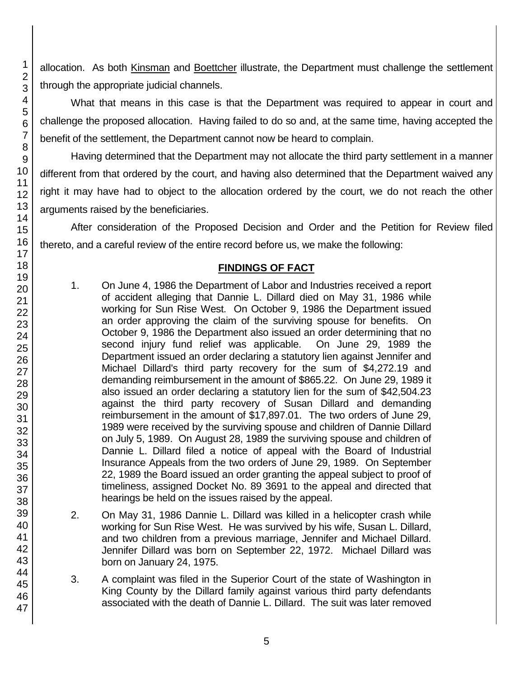allocation. As both Kinsman and Boettcher illustrate, the Department must challenge the settlement through the appropriate judicial channels.

What that means in this case is that the Department was required to appear in court and challenge the proposed allocation. Having failed to do so and, at the same time, having accepted the benefit of the settlement, the Department cannot now be heard to complain.

Having determined that the Department may not allocate the third party settlement in a manner different from that ordered by the court, and having also determined that the Department waived any right it may have had to object to the allocation ordered by the court, we do not reach the other arguments raised by the beneficiaries.

After consideration of the Proposed Decision and Order and the Petition for Review filed thereto, and a careful review of the entire record before us, we make the following:

## **FINDINGS OF FACT**

- 1. On June 4, 1986 the Department of Labor and Industries received a report of accident alleging that Dannie L. Dillard died on May 31, 1986 while working for Sun Rise West. On October 9, 1986 the Department issued an order approving the claim of the surviving spouse for benefits. On October 9, 1986 the Department also issued an order determining that no second injury fund relief was applicable. On June 29, 1989 the Department issued an order declaring a statutory lien against Jennifer and Michael Dillard's third party recovery for the sum of \$4,272.19 and demanding reimbursement in the amount of \$865.22. On June 29, 1989 it also issued an order declaring a statutory lien for the sum of \$42,504.23 against the third party recovery of Susan Dillard and demanding reimbursement in the amount of \$17,897.01. The two orders of June 29, 1989 were received by the surviving spouse and children of Dannie Dillard on July 5, 1989. On August 28, 1989 the surviving spouse and children of Dannie L. Dillard filed a notice of appeal with the Board of Industrial Insurance Appeals from the two orders of June 29, 1989. On September 22, 1989 the Board issued an order granting the appeal subject to proof of timeliness, assigned Docket No. 89 3691 to the appeal and directed that hearings be held on the issues raised by the appeal.
- 2. On May 31, 1986 Dannie L. Dillard was killed in a helicopter crash while working for Sun Rise West. He was survived by his wife, Susan L. Dillard, and two children from a previous marriage, Jennifer and Michael Dillard. Jennifer Dillard was born on September 22, 1972. Michael Dillard was born on January 24, 1975.
- 3. A complaint was filed in the Superior Court of the state of Washington in King County by the Dillard family against various third party defendants associated with the death of Dannie L. Dillard. The suit was later removed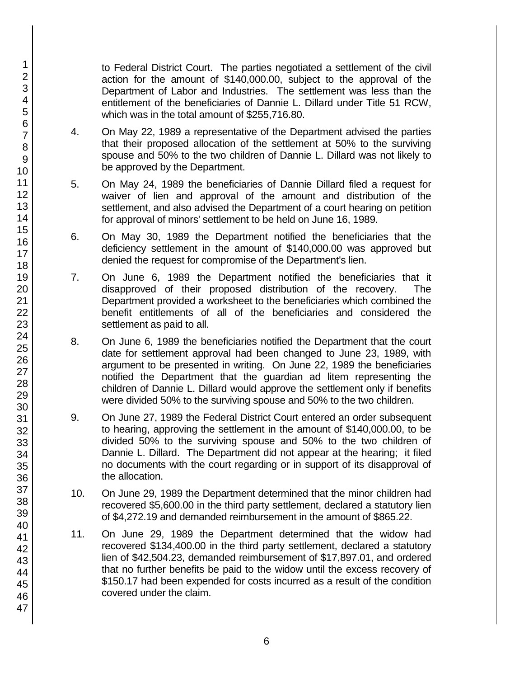to Federal District Court. The parties negotiated a settlement of the civil action for the amount of \$140,000.00, subject to the approval of the Department of Labor and Industries. The settlement was less than the entitlement of the beneficiaries of Dannie L. Dillard under Title 51 RCW, which was in the total amount of \$255,716.80.

- 4. On May 22, 1989 a representative of the Department advised the parties that their proposed allocation of the settlement at 50% to the surviving spouse and 50% to the two children of Dannie L. Dillard was not likely to be approved by the Department.
- 5. On May 24, 1989 the beneficiaries of Dannie Dillard filed a request for waiver of lien and approval of the amount and distribution of the settlement, and also advised the Department of a court hearing on petition for approval of minors' settlement to be held on June 16, 1989.
- 6. On May 30, 1989 the Department notified the beneficiaries that the deficiency settlement in the amount of \$140,000.00 was approved but denied the request for compromise of the Department's lien.
- 7. On June 6, 1989 the Department notified the beneficiaries that it disapproved of their proposed distribution of the recovery. The Department provided a worksheet to the beneficiaries which combined the benefit entitlements of all of the beneficiaries and considered the settlement as paid to all.
- 8. On June 6, 1989 the beneficiaries notified the Department that the court date for settlement approval had been changed to June 23, 1989, with argument to be presented in writing. On June 22, 1989 the beneficiaries notified the Department that the guardian ad litem representing the children of Dannie L. Dillard would approve the settlement only if benefits were divided 50% to the surviving spouse and 50% to the two children.
- 9. On June 27, 1989 the Federal District Court entered an order subsequent to hearing, approving the settlement in the amount of \$140,000.00, to be divided 50% to the surviving spouse and 50% to the two children of Dannie L. Dillard. The Department did not appear at the hearing; it filed no documents with the court regarding or in support of its disapproval of the allocation.
- 10. On June 29, 1989 the Department determined that the minor children had recovered \$5,600.00 in the third party settlement, declared a statutory lien of \$4,272.19 and demanded reimbursement in the amount of \$865.22.
- 11. On June 29, 1989 the Department determined that the widow had recovered \$134,400.00 in the third party settlement, declared a statutory lien of \$42,504.23, demanded reimbursement of \$17,897.01, and ordered that no further benefits be paid to the widow until the excess recovery of \$150.17 had been expended for costs incurred as a result of the condition covered under the claim.